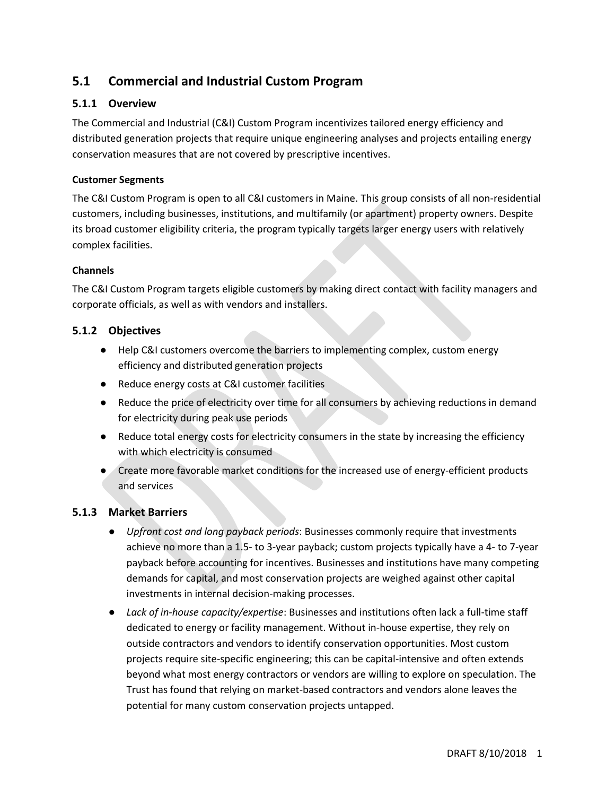# **5.1 Commercial and Industrial Custom Program**

# **5.1.1 Overview**

The Commercial and Industrial (C&I) Custom Program incentivizes tailored energy efficiency and distributed generation projects that require unique engineering analyses and projects entailing energy conservation measures that are not covered by prescriptive incentives.

# **Customer Segments**

The C&I Custom Program is open to all C&I customers in Maine. This group consists of all non-residential customers, including businesses, institutions, and multifamily (or apartment) property owners. Despite its broad customer eligibility criteria, the program typically targets larger energy users with relatively complex facilities.

## **Channels**

The C&I Custom Program targets eligible customers by making direct contact with facility managers and corporate officials, as well as with vendors and installers.

# **5.1.2 Objectives**

- Help C&I customers overcome the barriers to implementing complex, custom energy efficiency and distributed generation projects
- Reduce energy costs at C&I customer facilities
- Reduce the price of electricity over time for all consumers by achieving reductions in demand for electricity during peak use periods
- Reduce total energy costs for electricity consumers in the state by increasing the efficiency with which electricity is consumed
- Create more favorable market conditions for the increased use of energy-efficient products and services

# **5.1.3 Market Barriers**

- *Upfront cost and long payback periods*: Businesses commonly require that investments achieve no more than a 1.5- to 3-year payback; custom projects typically have a 4- to 7-year payback before accounting for incentives. Businesses and institutions have many competing demands for capital, and most conservation projects are weighed against other capital investments in internal decision-making processes.
- *Lack of in-house capacity/expertise*: Businesses and institutions often lack a full-time staff dedicated to energy or facility management. Without in-house expertise, they rely on outside contractors and vendors to identify conservation opportunities. Most custom projects require site-specific engineering; this can be capital-intensive and often extends beyond what most energy contractors or vendors are willing to explore on speculation. The Trust has found that relying on market-based contractors and vendors alone leaves the potential for many custom conservation projects untapped.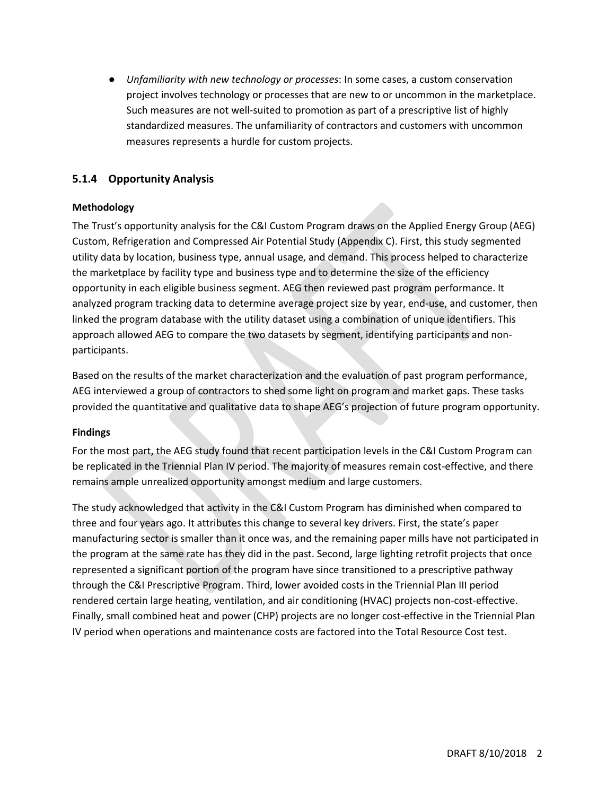● *Unfamiliarity with new technology or processes*: In some cases, a custom conservation project involves technology or processes that are new to or uncommon in the marketplace. Such measures are not well-suited to promotion as part of a prescriptive list of highly standardized measures. The unfamiliarity of contractors and customers with uncommon measures represents a hurdle for custom projects.

# **5.1.4 Opportunity Analysis**

# **Methodology**

The Trust's opportunity analysis for the C&I Custom Program draws on the Applied Energy Group (AEG) Custom, Refrigeration and Compressed Air Potential Study (Appendix C). First, this study segmented utility data by location, business type, annual usage, and demand. This process helped to characterize the marketplace by facility type and business type and to determine the size of the efficiency opportunity in each eligible business segment. AEG then reviewed past program performance. It analyzed program tracking data to determine average project size by year, end-use, and customer, then linked the program database with the utility dataset using a combination of unique identifiers. This approach allowed AEG to compare the two datasets by segment, identifying participants and nonparticipants.

Based on the results of the market characterization and the evaluation of past program performance, AEG interviewed a group of contractors to shed some light on program and market gaps. These tasks provided the quantitative and qualitative data to shape AEG's projection of future program opportunity.

#### **Findings**

For the most part, the AEG study found that recent participation levels in the C&I Custom Program can be replicated in the Triennial Plan IV period. The majority of measures remain cost-effective, and there remains ample unrealized opportunity amongst medium and large customers.

The study acknowledged that activity in the C&I Custom Program has diminished when compared to three and four years ago. It attributes this change to several key drivers. First, the state's paper manufacturing sector is smaller than it once was, and the remaining paper mills have not participated in the program at the same rate has they did in the past. Second, large lighting retrofit projects that once represented a significant portion of the program have since transitioned to a prescriptive pathway through the C&I Prescriptive Program. Third, lower avoided costs in the Triennial Plan III period rendered certain large heating, ventilation, and air conditioning (HVAC) projects non-cost-effective. Finally, small combined heat and power (CHP) projects are no longer cost-effective in the Triennial Plan IV period when operations and maintenance costs are factored into the Total Resource Cost test.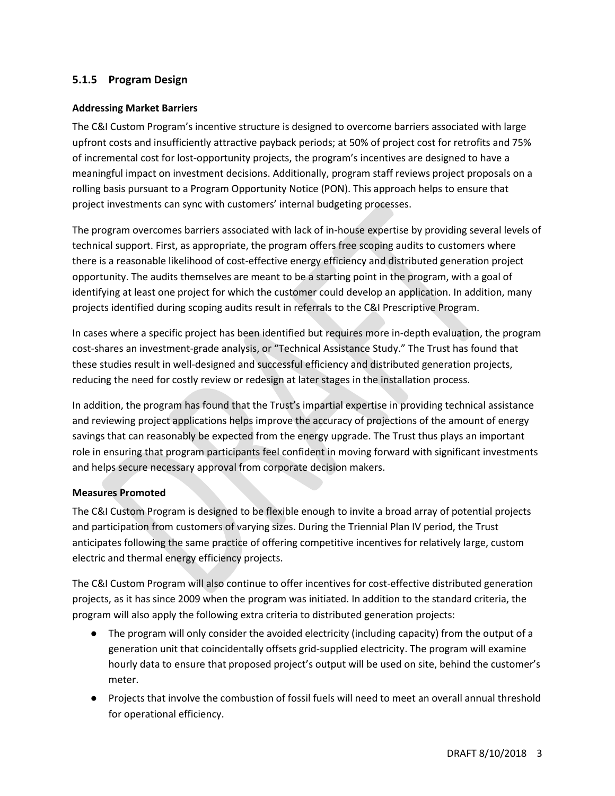# **5.1.5 Program Design**

## **Addressing Market Barriers**

The C&I Custom Program's incentive structure is designed to overcome barriers associated with large upfront costs and insufficiently attractive payback periods; at 50% of project cost for retrofits and 75% of incremental cost for lost-opportunity projects, the program's incentives are designed to have a meaningful impact on investment decisions. Additionally, program staff reviews project proposals on a rolling basis pursuant to a Program Opportunity Notice (PON). This approach helps to ensure that project investments can sync with customers' internal budgeting processes.

The program overcomes barriers associated with lack of in-house expertise by providing several levels of technical support. First, as appropriate, the program offers free scoping audits to customers where there is a reasonable likelihood of cost-effective energy efficiency and distributed generation project opportunity. The audits themselves are meant to be a starting point in the program, with a goal of identifying at least one project for which the customer could develop an application. In addition, many projects identified during scoping audits result in referrals to the C&I Prescriptive Program.

In cases where a specific project has been identified but requires more in-depth evaluation, the program cost-shares an investment-grade analysis, or "Technical Assistance Study." The Trust has found that these studies result in well-designed and successful efficiency and distributed generation projects, reducing the need for costly review or redesign at later stages in the installation process.

In addition, the program has found that the Trust's impartial expertise in providing technical assistance and reviewing project applications helps improve the accuracy of projections of the amount of energy savings that can reasonably be expected from the energy upgrade. The Trust thus plays an important role in ensuring that program participants feel confident in moving forward with significant investments and helps secure necessary approval from corporate decision makers.

#### **Measures Promoted**

The C&I Custom Program is designed to be flexible enough to invite a broad array of potential projects and participation from customers of varying sizes. During the Triennial Plan IV period, the Trust anticipates following the same practice of offering competitive incentives for relatively large, custom electric and thermal energy efficiency projects.

The C&I Custom Program will also continue to offer incentives for cost-effective distributed generation projects, as it has since 2009 when the program was initiated. In addition to the standard criteria, the program will also apply the following extra criteria to distributed generation projects:

- The program will only consider the avoided electricity (including capacity) from the output of a generation unit that coincidentally offsets grid-supplied electricity. The program will examine hourly data to ensure that proposed project's output will be used on site, behind the customer's meter.
- Projects that involve the combustion of fossil fuels will need to meet an overall annual threshold for operational efficiency.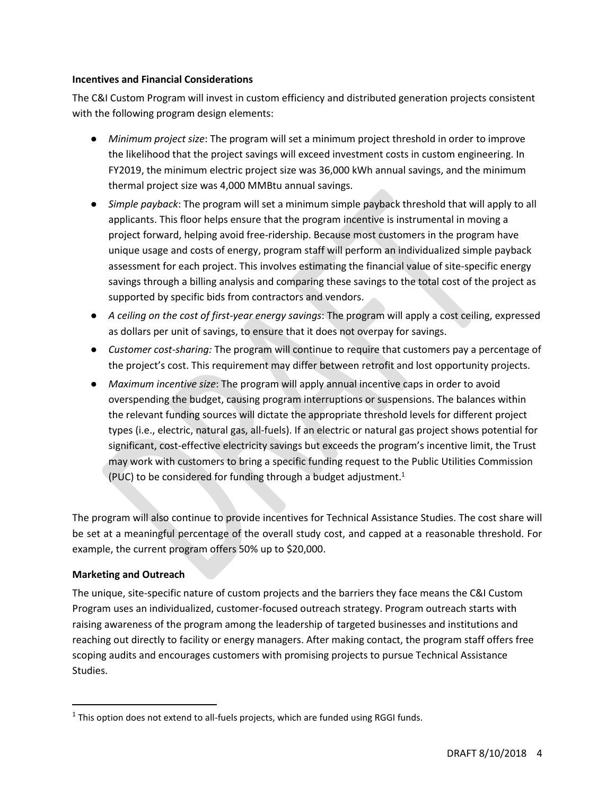#### **Incentives and Financial Considerations**

The C&I Custom Program will invest in custom efficiency and distributed generation projects consistent with the following program design elements:

- *Minimum project size*: The program will set a minimum project threshold in order to improve the likelihood that the project savings will exceed investment costs in custom engineering. In FY2019, the minimum electric project size was 36,000 kWh annual savings, and the minimum thermal project size was 4,000 MMBtu annual savings.
- *Simple payback*: The program will set a minimum simple payback threshold that will apply to all applicants. This floor helps ensure that the program incentive is instrumental in moving a project forward, helping avoid free-ridership. Because most customers in the program have unique usage and costs of energy, program staff will perform an individualized simple payback assessment for each project. This involves estimating the financial value of site-specific energy savings through a billing analysis and comparing these savings to the total cost of the project as supported by specific bids from contractors and vendors.
- *A ceiling on the cost of first-year energy savings*: The program will apply a cost ceiling, expressed as dollars per unit of savings, to ensure that it does not overpay for savings.
- *Customer cost-sharing:* The program will continue to require that customers pay a percentage of the project's cost. This requirement may differ between retrofit and lost opportunity projects.
- *Maximum incentive size*: The program will apply annual incentive caps in order to avoid overspending the budget, causing program interruptions or suspensions. The balances within the relevant funding sources will dictate the appropriate threshold levels for different project types (i.e., electric, natural gas, all-fuels). If an electric or natural gas project shows potential for significant, cost-effective electricity savings but exceeds the program's incentive limit, the Trust may work with customers to bring a specific funding request to the Public Utilities Commission (PUC) to be considered for funding through a budget adjustment. 1

The program will also continue to provide incentives for Technical Assistance Studies. The cost share will be set at a meaningful percentage of the overall study cost, and capped at a reasonable threshold. For example, the current program offers 50% up to \$20,000.

#### **Marketing and Outreach**

 $\overline{\phantom{a}}$ 

The unique, site-specific nature of custom projects and the barriers they face means the C&I Custom Program uses an individualized, customer-focused outreach strategy. Program outreach starts with raising awareness of the program among the leadership of targeted businesses and institutions and reaching out directly to facility or energy managers. After making contact, the program staff offers free scoping audits and encourages customers with promising projects to pursue Technical Assistance Studies.

 $<sup>1</sup>$  This option does not extend to all-fuels projects, which are funded using RGGI funds.</sup>